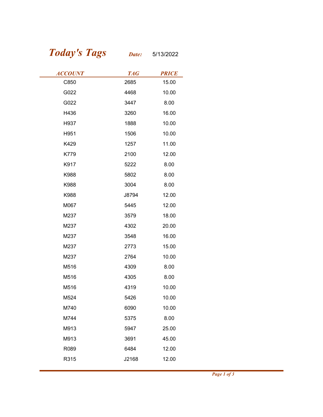## Today's Tags Date: 5/13/2022

| <b>Today's Tags</b> | Date:      | 5/13/2022    |
|---------------------|------------|--------------|
| <b>ACCOUNT</b>      | <b>TAG</b> | <b>PRICE</b> |
| C850                | 2685       | 15.00        |
| G022                | 4468       | 10.00        |
| G022                | 3447       | 8.00         |
| H436                | 3260       | 16.00        |
| H937                | 1888       | 10.00        |
| H951                | 1506       | 10.00        |
| K429                | 1257       | 11.00        |
| K779                | 2100       | 12.00        |
| K917                | 5222       | 8.00         |
| K988                | 5802       | 8.00         |
| K988                | 3004       | 8.00         |
| K988                | J8794      | 12.00        |
| M067                | 5445       | 12.00        |
| M237                | 3579       | 18.00        |
| M237                | 4302       | 20.00        |
| M237                | 3548       | 16.00        |
| M237                | 2773       | 15.00        |
| M237                | 2764       | 10.00        |
| M516                | 4309       | 8.00         |
| M516                | 4305       | 8.00         |
| M516                | 4319       | 10.00        |
| M524                | 5426       | 10.00        |
| M740                | 6090       | 10.00        |
| M744                | 5375       | 8.00         |
| M913                | 5947       | 25.00        |
| M913                | 3691       | 45.00        |
| R089                | 6484       | 12.00        |
| R315                | J2168      | 12.00        |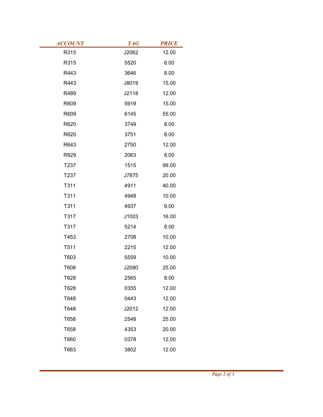| <b>ACCOUNT</b> | <b>TAG</b> | <b>PRICE</b> |
|----------------|------------|--------------|
| R315           | J2062      | 12.00        |
| R315           | 5520       | 8.00         |
| R443           | 3646       | 8.00         |
| R443           | J8019      | 15.00        |
| R489           | J2118      | 12.00        |
| R609           | 5919       | 15.00        |
| R609           | 6145       | 55.00        |
| R620           | 3749       | 8.00         |
| R620           | 3751       | 8.00         |
| R643           | 2750       | 12.00        |
| R829           | 2063       | 8.00         |
| T237           | 1515       | 99.00        |
| T237           | J7875      | 20.00        |
| T311           | 4911       | 40.00        |
| T311           | 4948       | 10.00        |
| T311           | 4937       | 9.00         |
| T317           | J1003      | 16.00        |
| T317           | 5214       | 8.00         |
| T453           | 2708       | 10.00        |
| T511           | 2215       | 12.00        |
| T603           | 5559       | 10.00        |
| T608           | J2080      | 25.00        |
| T628           | 2565       | 8.00         |
| T628           | 0355       | 12.00        |
| T648           | 0443       | 12.00        |
| T648           | J2012      | 12.00        |
| T658           | 2548       | 25.00        |
| T658           | 4353       | 20.00        |
| T660           | 0378       | 12.00        |
| T663           | 3802       | 12.00        |